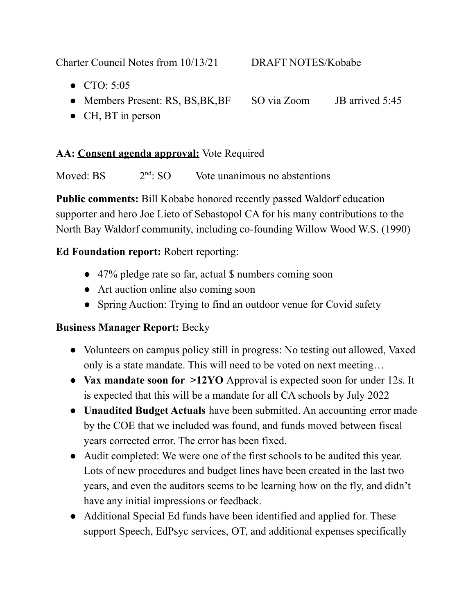Charter Council Notes from 10/13/21 DRAFT NOTES/Kobabe

- CTO: 5:05
- Members Present: RS, BS, BK, BF SO via Zoom JB arrived 5:45
- CH, BT in person

### **AA: Consent agenda approval:** Vote Required

Moved:  $BS$  $2<sup>nd</sup>$  SO Vote unanimous no abstentions

**Public comments:** Bill Kobabe honored recently passed Waldorf education supporter and hero Joe Lieto of Sebastopol CA for his many contributions to the North Bay Waldorf community, including co-founding Willow Wood W.S. (1990)

## **Ed Foundation report:** Robert reporting:

- 47% pledge rate so far, actual \$ numbers coming soon
- Art auction online also coming soon
- Spring Auction: Trying to find an outdoor venue for Covid safety

## **Business Manager Report:** Becky

- Volunteers on campus policy still in progress: No testing out allowed, Vaxed only is a state mandate. This will need to be voted on next meeting…
- **Vax mandate soon for >12YO** Approval is expected soon for under 12s. It is expected that this will be a mandate for all CA schools by July 2022
- **Unaudited Budget Actuals** have been submitted. An accounting error made by the COE that we included was found, and funds moved between fiscal years corrected error. The error has been fixed.
- Audit completed: We were one of the first schools to be audited this year. Lots of new procedures and budget lines have been created in the last two years, and even the auditors seems to be learning how on the fly, and didn't have any initial impressions or feedback.
- Additional Special Ed funds have been identified and applied for. These support Speech, EdPsyc services, OT, and additional expenses specifically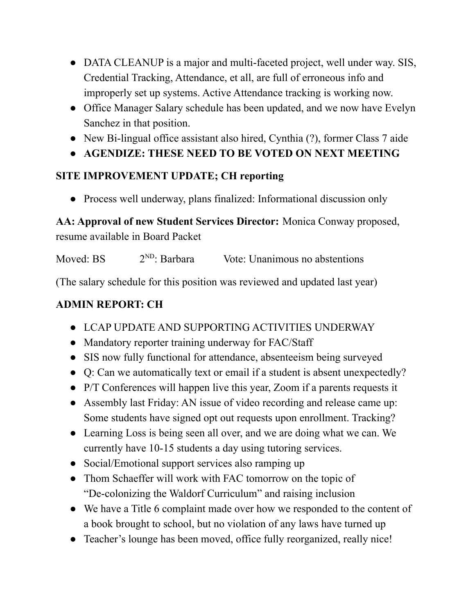- DATA CLEANUP is a major and multi-faceted project, well under way. SIS, Credential Tracking, Attendance, et all, are full of erroneous info and improperly set up systems. Active Attendance tracking is working now.
- Office Manager Salary schedule has been updated, and we now have Evelyn Sanchez in that position.
- New Bi-lingual office assistant also hired, Cynthia (?), former Class 7 aide
- **AGENDIZE: THESE NEED TO BE VOTED ON NEXT MEETING**

# **SITE IMPROVEMENT UPDATE; CH reporting**

• Process well underway, plans finalized: Informational discussion only

**AA: Approval of new Student Services Director:** Monica Conway proposed, resume available in Board Packet

Moved: BS  $2^{ND}$ : Barbara Vote: Unanimous no abstentions

(The salary schedule for this position was reviewed and updated last year)

# **ADMIN REPORT: CH**

- **●** LCAP UPDATE AND SUPPORTING ACTIVITIES UNDERWAY
- **●** Mandatory reporter training underway for FAC/Staff
- **●** SIS now fully functional for attendance, absenteeism being surveyed
- **●** Q: Can we automatically text or email if a student is absent unexpectedly?
- **●** P/T Conferences will happen live this year, Zoom if a parents requests it
- **●** Assembly last Friday: AN issue of video recording and release came up: Some students have signed opt out requests upon enrollment. Tracking?
- **●** Learning Loss is being seen all over, and we are doing what we can. We currently have 10-15 students a day using tutoring services.
- **●** Social/Emotional support services also ramping up
- **●** Thom Schaeffer will work with FAC tomorrow on the topic of "De-colonizing the Waldorf Curriculum" and raising inclusion
- **●** We have a Title 6 complaint made over how we responded to the content of a book brought to school, but no violation of any laws have turned up
- **●** Teacher's lounge has been moved, office fully reorganized, really nice!